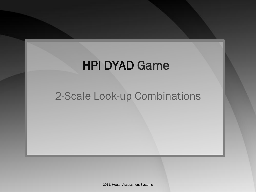# HPI DYAD Game

# 2-Scale Look-up Combinations

2011, Hogan Assessment Systems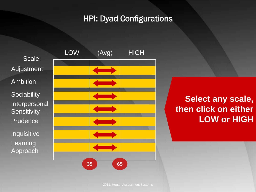#### HPI: Dyad Configurations



**Select any scale, then click on either LOW or HIGH**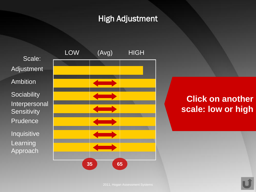#### High Adjustment





# **Click on another scale: low or high**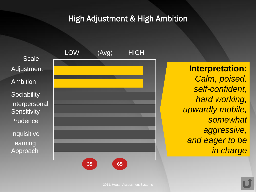#### High Adjustment & High Ambition

Scale: Adjustment Ambition **Sociability** Interpersonal **Sensitivity** Prudence Inquisitive Learning Approach



**Interpretation:** *Calm, poised, self-confident, hard working, upwardly mobile, somewhat aggressive, and eager to be in charge*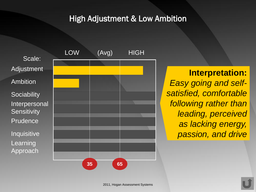#### High Adjustment & Low Ambition

Scale: Adjustment Ambition **Sociability** Interpersonal **Sensitivity** Prudence Inquisitive Learning Approach



**Interpretation:** *Easy going and selfsatisfied, comfortable following rather than leading, perceived as lacking energy, passion, and drive*

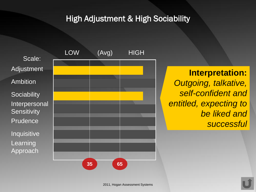#### High Adjustment & High Sociability





**Interpretation:** *Outgoing, talkative, self-confident and entitled, expecting to be liked and successful*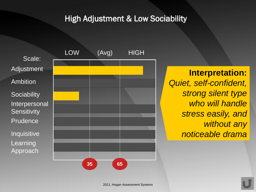#### High Adjustment & Low Sociability

Scale: Adjustment Ambition **Sociability Interpersonal Sensitivity** Prudence Inquisitive Learning Approach



**Interpretation:** *Quiet, self-confident, strong silent type who will handle stress easily, and without any noticeable drama*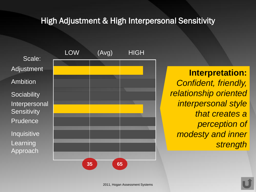#### High Adjustment & High Interpersonal Sensitivity

Scale: Adjustment Ambition **Sociability** Interpersonal **Sensitivity** Prudence Inquisitive Learning Approach



**Interpretation:** *Confident, friendly, relationship oriented interpersonal style that creates a perception of modesty and inner strength*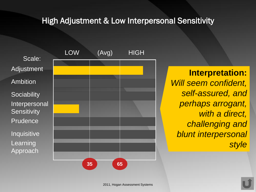#### High Adjustment & Low Interpersonal Sensitivity

Scale: Adjustment Ambition **Sociability** Interpersonal **Sensitivity** Prudence Inquisitive Learning Approach



**Interpretation:** *Will seem confident, self-assured, and perhaps arrogant, with a direct, challenging and blunt interpersonal style*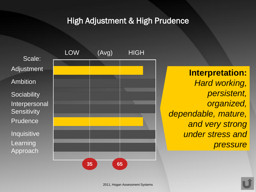High Adjustment & High Prudence





**Interpretation:** *Hard working, persistent, organized, dependable, mature, and very strong under stress and pressure*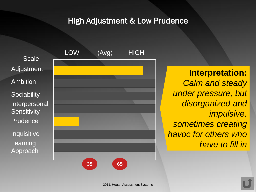#### High Adjustment & Low Prudence

Scale: Adjustment Ambition **Sociability** Interpersonal **Sensitivity** Prudence Inquisitive Learning Approach



**Interpretation:** *Calm and steady under pressure, but disorganized and impulsive, sometimes creating havoc for others who have to fill in*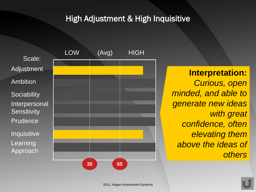#### High Adjustment & High Inquisitive

Scale: Adjustment Ambition **Sociability** Interpersonal **Sensitivity** Prudence Inquisitive Learning Approach



**Interpretation:** *Curious, open minded, and able to generate new ideas with great confidence, often elevating them above the ideas of others*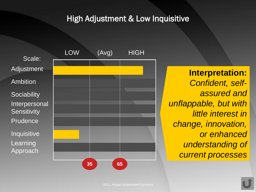#### High Adjustment & Low Inquisitive

Scale: Adjustment Ambition **Sociability** Interpersonal **Sensitivity** Prudence Inquisitive Learning **Approach** 



**Interpretation:** *Confident, selfassured and unflappable, but with little interest in change, innovation, or enhanced understanding of current processes*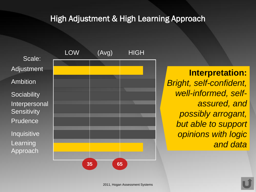#### High Adjustment & High Learning Approach

Scale: Adjustment Ambition **Sociability** Interpersonal **Sensitivity** Prudence Inquisitive Learning Approach



**Interpretation:** *Bright, self-confident, well-informed, selfassured, and possibly arrogant, but able to support opinions with logic and data*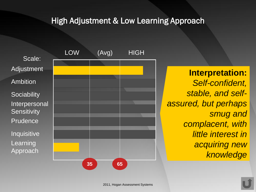#### High Adjustment & Low Learning Approach

Scale: Adjustment Ambition **Sociability** Interpersonal **Sensitivity** Prudence Inquisitive Learning Approach



**Interpretation:** *Self-confident, stable, and selfassured, but perhaps smug and complacent, with little interest in acquiring new knowledge*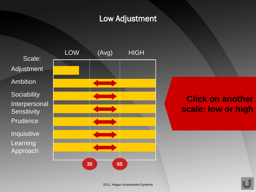#### Low Adjustment

Scale: Adjustment Ambition **Sociability** Interpersonal **Sensitivity Prudence** Inquisitive Learning Approach



# **Click on another scale: low or high**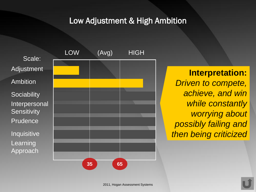Low Adjustment & High Ambition

Scale: Adjustment Ambition **Sociability** Interpersonal **Sensitivity** Prudence Inquisitive Learning Approach



**Interpretation:** *Driven to compete, achieve, and win while constantly worrying about possibly failing and then being criticized*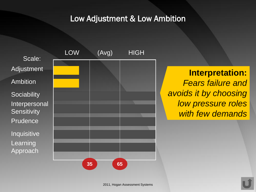#### Low Adjustment & Low Ambition





**Interpretation:** *Fears failure and avoids it by choosing low pressure roles with few demands*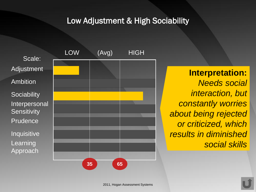#### Low Adjustment & High Sociability

Scale: Adjustment Ambition **Sociability** Interpersonal **Sensitivity** Prudence Inquisitive Learning Approach



**Interpretation:** *Needs social interaction, but constantly worries about being rejected or criticized, which results in diminished social skills*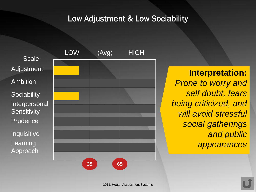#### Low Adjustment & Low Sociability





**Interpretation:** *Prone to worry and self doubt, fears being criticized, and will avoid stressful social gatherings and public appearances*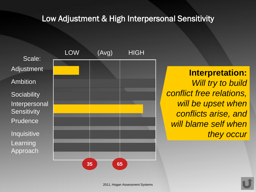#### Low Adjustment & High Interpersonal Sensitivity





**Interpretation:** *Will try to build conflict free relations, will be upset when conflicts arise, and will blame self when they occur*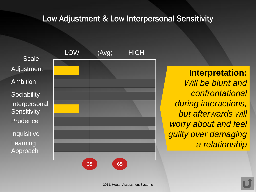#### Low Adjustment & Low Interpersonal Sensitivity

Scale: Adjustment Ambition **Sociability** Interpersonal **Sensitivity** Prudence **Inquisitive** Learning Approach



**Interpretation:** *Will be blunt and confrontational during interactions, but afterwards will worry about and feel guilty over damaging a relationship*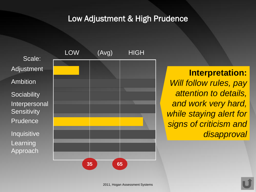#### Low Adjustment & High Prudence





**Interpretation:** *Will follow rules, pay attention to details, and work very hard, while staying alert for signs of criticism and disapproval*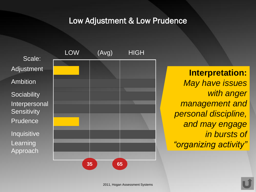#### Low Adjustment & Low Prudence





**Interpretation:** *May have issues with anger management and personal discipline, and may engage in bursts of "organizing activity"*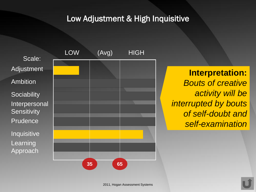#### Low Adjustment & High Inquisitive





**Interpretation:** *Bouts of creative activity will be interrupted by bouts of self-doubt and self-examination*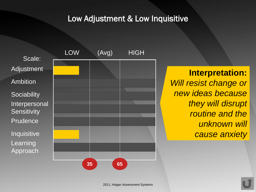#### Low Adjustment & Low Inquisitive





**Interpretation:** *Will resist change or new ideas because they will disrupt routine and the unknown will cause anxiety*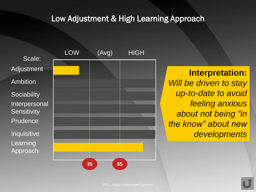#### Low Adjustment & High Learning Approach

Scale: Adjustment Ambition **Sociability** Interpersonal **Sensitivity** Prudence Inquisitive Learning Approach



# **Interpretation:** *Will be driven to stay up-to-date to avoid feeling anxious about not being "in the know" about new developments*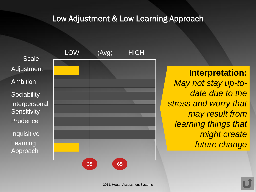#### Low Adjustment & Low Learning Approach

Scale: Adjustment Ambition **Sociability** Interpersonal **Sensitivity** Prudence Inquisitive Learning Approach



**Interpretation:** *May not stay up-todate due to the stress and worry that may result from learning things that might create future change*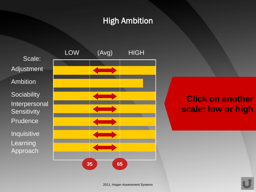### High Ambition





# **Click on another scale: low or high**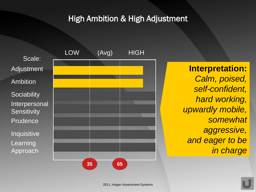#### High Ambition & High Adjustment

Scale: Adjustment Ambition **Sociability** Interpersonal **Sensitivity** Prudence Inquisitive Learning Approach



**Interpretation:** *Calm, poised, self-confident, hard working, upwardly mobile, somewhat aggressive, and eager to be in charge*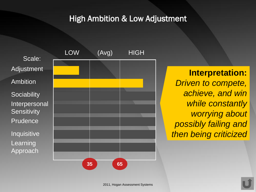#### High Ambition & Low Adjustment

Scale: Adjustment Ambition **Sociability** Interpersonal **Sensitivity** Prudence Inquisitive Learning Approach



**Interpretation:** *Driven to compete, achieve, and win while constantly worrying about possibly failing and then being criticized*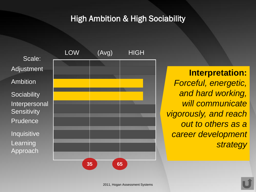#### High Ambition & High Sociability

Scale: Adjustment Ambition **Sociability** Interpersonal **Sensitivity** Prudence Inquisitive Learning Approach



**Interpretation:** *Forceful, energetic, and hard working, will communicate vigorously, and reach out to others as a career development strategy*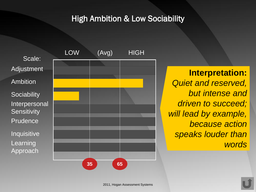#### High Ambition & Low Sociability

Scale: Adjustment Ambition **Sociability Interpersonal Sensitivity** Prudence Inquisitive Learning Approach



**Interpretation:** *Quiet and reserved, but intense and driven to succeed; will lead by example, because action speaks louder than words*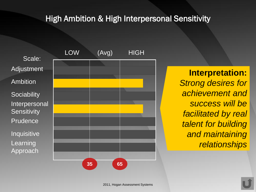#### High Ambition & High Interpersonal Sensitivity

Scale: Adjustment Ambition **Sociability** Interpersonal **Sensitivity** Prudence Inquisitive Learning Approach



**Interpretation:** *Strong desires for achievement and success will be facilitated by real talent for building and maintaining relationships*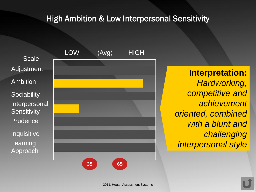#### High Ambition & Low Interpersonal Sensitivity

Scale: Adjustment Ambition **Sociability** Interpersonal **Sensitivity** Prudence Inquisitive Learning Approach



**Interpretation:** *Hardworking, competitive and achievement oriented, combined with a blunt and challenging interpersonal style*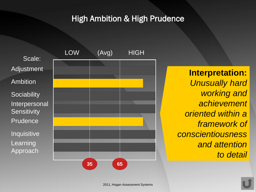#### High Ambition & High Prudence

Scale: Adjustment Ambition **Sociability** Interpersonal **Sensitivity** Prudence Inquisitive Learning Approach



**Interpretation:** *Unusually hard working and achievement oriented within a framework of conscientiousness and attention to detail*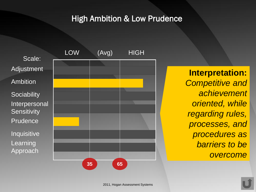#### High Ambition & Low Prudence

Scale: Adjustment Ambition **Sociability** Interpersonal **Sensitivity** Prudence Inquisitive Learning Approach



**Interpretation:** *Competitive and achievement oriented, while regarding rules, processes, and procedures as barriers to be overcome*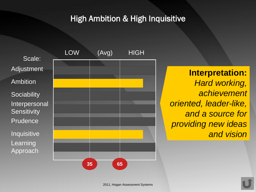# High Ambition & High Inquisitive

Scale: Adjustment Ambition **Sociability** Interpersonal **Sensitivity** Prudence Inquisitive Learning Approach



**Interpretation:** *Hard working, achievement oriented, leader-like, and a source for providing new ideas and vision*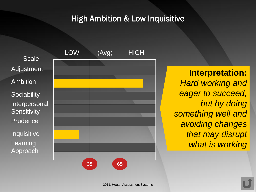#### High Ambition & Low Inquisitive

Scale: Adjustment Ambition **Sociability** Interpersonal **Sensitivity** Prudence Inquisitive Learning Approach



**Interpretation:** *Hard working and eager to succeed, but by doing something well and avoiding changes that may disrupt what is working*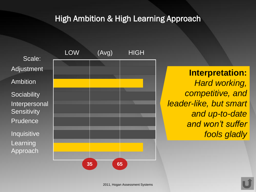# High Ambition & High Learning Approach

Scale: Adjustment Ambition **Sociability** Interpersonal **Sensitivity** Prudence Inquisitive Learning Approach



**Interpretation:** *Hard working, competitive, and leader-like, but smart and up-to-date and won't suffer fools gladly*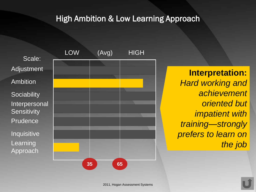# High Ambition & Low Learning Approach

Scale: Adjustment Ambition **Sociability** Interpersonal **Sensitivity** Prudence Inquisitive Learning Approach



**Interpretation:** *Hard working and achievement oriented but impatient with training—strongly prefers to learn on the job*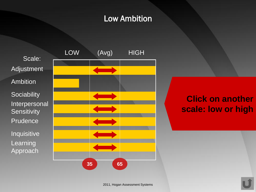# Low Ambition

Scale: Adjustment Ambition **Sociability** Interpersonal **Sensitivity Prudence** Inquisitive Learning Approach



# **Click on another scale: low or high**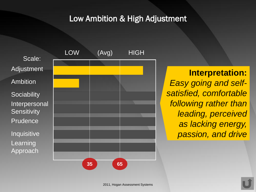# Low Ambition & High Adjustment

Scale: Adjustment Ambition **Sociability** Interpersonal **Sensitivity** Prudence Inquisitive Learning Approach



**Interpretation:** *Easy going and selfsatisfied, comfortable following rather than leading, perceived as lacking energy, passion, and drive*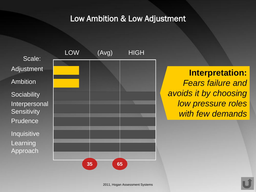Low Ambition & Low Adjustment





**Interpretation:** *Fears failure and avoids it by choosing low pressure roles with few demands*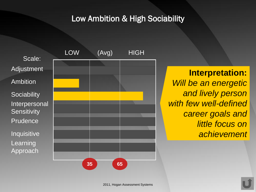# Low Ambition & High Sociability





# **Interpretation:** *Will be an energetic and lively person with few well-defined career goals and little focus on achievement*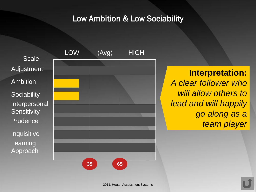#### Low Ambition & Low Sociability

Scale: Adjustment Ambition **Sociability** Interpersonal **Sensitivity** Prudence Inquisitive Learning Approach



**Interpretation:** *A clear follower who will allow others to lead and will happily go along as a team player*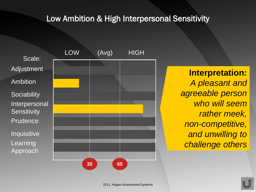#### Low Ambition & High Interpersonal Sensitivity

Scale: Adjustment Ambition **Sociability** Interpersonal **Sensitivity** Prudence Inquisitive Learning Approach



**Interpretation:** *A pleasant and agreeable person who will seem rather meek, non-competitive, and unwilling to challenge others*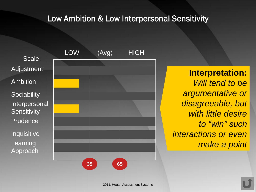#### Low Ambition & Low Interpersonal Sensitivity

Scale: Adjustment Ambition **Sociability** Interpersonal **Sensitivity Prudence** Inquisitive Learning Approach



**Interpretation:** *Will tend to be argumentative or disagreeable, but with little desire to "win" such interactions or even make a point*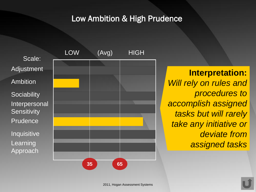#### Low Ambition & High Prudence





**Interpretation:** *Will rely on rules and procedures to accomplish assigned tasks but will rarely take any initiative or deviate from assigned tasks*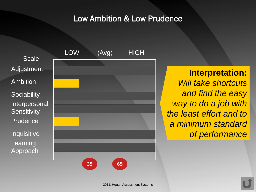#### Low Ambition & Low Prudence

Scale: Adjustment Ambition **Sociability** Interpersonal **Sensitivity** Prudence Inquisitive Learning Approach



**Interpretation:** *Will take shortcuts and find the easy way to do a job with the least effort and to a minimum standard of performance*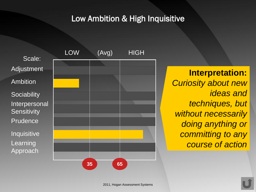## Low Ambition & High Inquisitive

Scale: Adjustment Ambition **Sociability** Interpersonal **Sensitivity** Prudence Inquisitive Learning Approach



**Interpretation:** *Curiosity about new ideas and techniques, but without necessarily doing anything or committing to any course of action*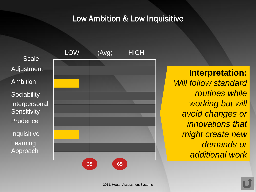#### Low Ambition & Low Inquisitive

Scale: Adjustment Ambition **Sociability** Interpersonal **Sensitivity** Prudence Inquisitive Learning Approach



**Interpretation:** *Will follow standard routines while working but will avoid changes or innovations that might create new demands or additional work*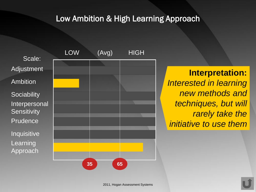# Low Ambition & High Learning Approach

Scale: Adjustment Ambition **Sociability** Interpersonal **Sensitivity** Prudence Inquisitive Learning Approach



**Interpretation:** *Interested in learning new methods and techniques, but will rarely take the initiative to use them*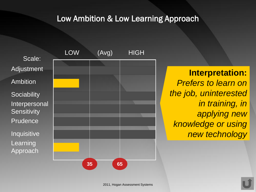#### Low Ambition & Low Learning Approach

Scale: Adjustment Ambition **Sociability** Interpersonal **Sensitivity Prudence** Inquisitive Learning Approach



**Interpretation:** *Prefers to learn on the job, uninterested in training, in applying new knowledge or using new technology*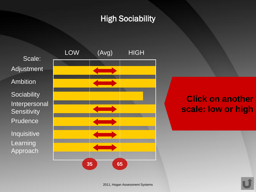# High Sociability





# **Click on another scale: low or high**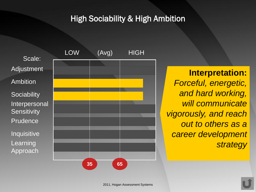# High Sociability & High Ambition

Scale: Adjustment Ambition **Sociability** Interpersonal **Sensitivity** Prudence Inquisitive Learning Approach



**Interpretation:** *Forceful, energetic, and hard working, will communicate vigorously, and reach out to others as a career development strategy*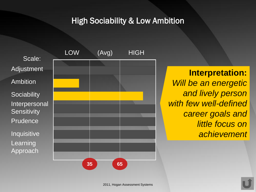High Sociability & Low Ambition





**Interpretation:** *Will be an energetic and lively person with few well-defined career goals and little focus on achievement*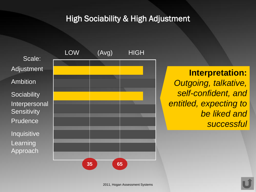# High Sociability & High Adjustment

Scale: Adjustment Ambition **Sociability** Interpersonal **Sensitivity** Prudence Inquisitive Learning Approach



# **Interpretation:** *Outgoing, talkative, self-confident, and entitled, expecting to be liked and successful*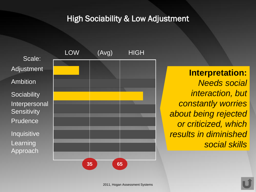# High Sociability & Low Adjustment





**Interpretation:** *Needs social interaction, but constantly worries about being rejected or criticized, which results in diminished social skills*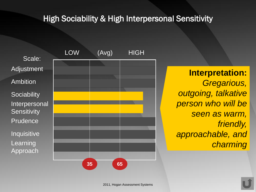# High Sociability & High Interpersonal Sensitivity

Scale: Adjustment Ambition **Sociability** Interpersonal **Sensitivity Prudence** Inquisitive Learning Approach



**Interpretation:** *Gregarious, outgoing, talkative person who will be seen as warm, friendly, approachable, and charming*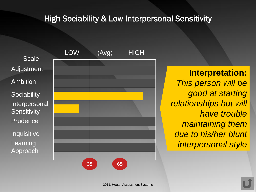# **High Sociability & Low Interpersonal Sensitivity**

Scale: Adjustment Ambition **Sociability** Interpersonal **Sensitivity Prudence** Inquisitive Learning Approach



**Interpretation:** *This person will be good at starting relationships but will have trouble maintaining them due to his/her blunt interpersonal style*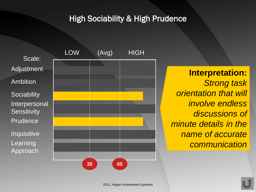# High Sociability & High Prudence





**Interpretation:** *Strong task orientation that will involve endless discussions of minute details in the name of accurate communication*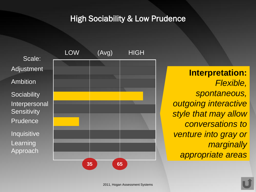## High Sociability & Low Prudence

Scale: Adjustment Ambition **Sociability** Interpersonal **Sensitivity** Prudence Inquisitive Learning Approach



**Interpretation:** *Flexible, spontaneous, outgoing interactive style that may allow conversations to venture into gray or marginally appropriate areas*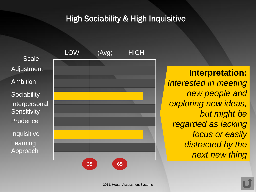# High Sociability & High Inquisitive

Scale: Adjustment Ambition **Sociability** Interpersonal **Sensitivity Prudence** Inquisitive Learning Approach



**Interpretation:** *Interested in meeting new people and exploring new ideas, but might be regarded as lacking focus or easily distracted by the next new thing*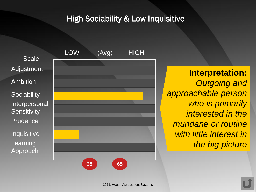# High Sociability & Low Inquisitive

Scale: Adjustment Ambition **Sociability** Interpersonal **Sensitivity Prudence** Inquisitive Learning Approach



**Interpretation:** *Outgoing and approachable person who is primarily interested in the mundane or routine with little interest in the big picture*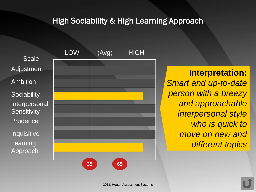#### High Sociability & High Learning Approach

Scale: Adjustment Ambition **Sociability** Interpersonal **Sensitivity Prudence** Inquisitive Learning Approach



**Interpretation:** *Smart and up-to-date person with a breezy and approachable interpersonal style who is quick to move on new and different topics*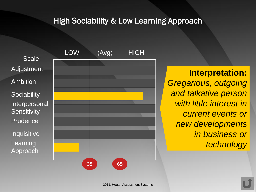### High Sociability & Low Learning Approach

Scale: Adjustment Ambition **Sociability** Interpersonal **Sensitivity** Prudence Inquisitive Learning Approach



**Interpretation:** *Gregarious, outgoing and talkative person with little interest in current events or new developments in business or technology*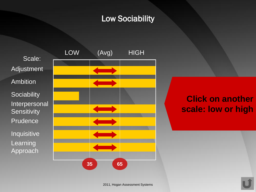# Low Sociability





# **Click on another scale: low or high**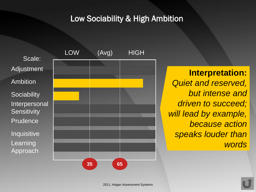#### Low Sociability & High Ambition

Scale: Adjustment Ambition **Sociability** Interpersonal **Sensitivity** Prudence Inquisitive Learning Approach



**Interpretation:** *Quiet and reserved, but intense and driven to succeed; will lead by example, because action speaks louder than words*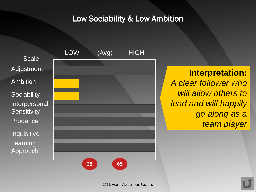#### Low Sociability & Low Ambition





**Interpretation:** *A clear follower who will allow others to lead and will happily go along as a team player*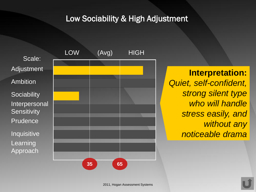# Low Sociability & High Adjustment

Scale: Adjustment Ambition **Sociability** Interpersonal **Sensitivity** Prudence Inquisitive Learning Approach



**Interpretation:** *Quiet, self-confident, strong silent type who will handle stress easily, and without any noticeable drama*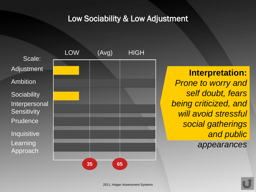#### Low Sociability & Low Adjustment





**Interpretation:** *Prone to worry and self doubt, fears being criticized, and will avoid stressful social gatherings and public appearances*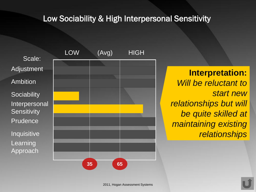## Low Sociability & High Interpersonal Sensitivity

Scale: Adjustment Ambition **Sociability** Interpersonal **Sensitivity** Prudence Inquisitive Learning Approach



**Interpretation:** *Will be reluctant to start new relationships but will be quite skilled at maintaining existing relationships*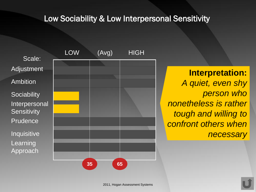## Low Sociability & Low Interpersonal Sensitivity

Scale: Adjustment Ambition **Sociability** Interpersonal **Sensitivity Prudence** Inquisitive Learning Approach



**Interpretation:** *A quiet, even shy person who nonetheless is rather tough and willing to confront others when necessary*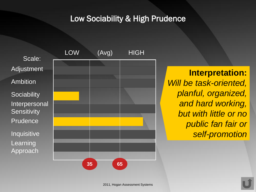# Low Sociability & High Prudence





**Interpretation:** *Will be task-oriented, planful, organized, and hard working, but with little or no public fan fair or self-promotion*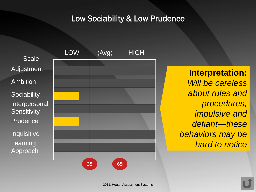## Low Sociability & Low Prudence

Scale: Adjustment Ambition **Sociability** Interpersonal **Sensitivity** Prudence Inquisitive Learning Approach



**Interpretation:** *Will be careless about rules and procedures, impulsive and defiant—these behaviors may be hard to notice*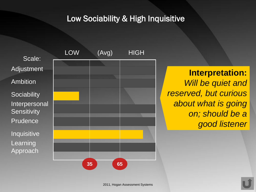# Low Sociability & High Inquisitive

Scale: Adjustment Ambition **Sociability** Interpersonal **Sensitivity Prudence** Inquisitive Learning Approach



**Interpretation:** *Will be quiet and reserved, but curious about what is going on; should be a good listener*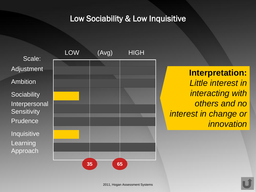# Low Sociability & Low Inquisitive





**Interpretation:** *Little interest in interacting with others and no interest in change or innovation*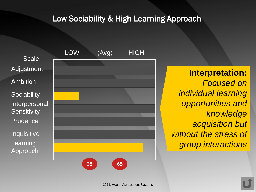# Low Sociability & High Learning Approach

Scale: Adjustment Ambition **Sociability** Interpersonal **Sensitivity** Prudence Inquisitive Learning Approach



**Interpretation:** *Focused on individual learning opportunities and knowledge acquisition but without the stress of group interactions*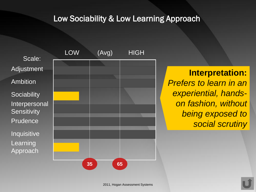# Low Sociability & Low Learning Approach

Scale: Adjustment Ambition **Sociability** Interpersonal **Sensitivity** Prudence Inquisitive Learning Approach



**Interpretation:** *Prefers to learn in an experiential, handson fashion, without being exposed to social scrutiny*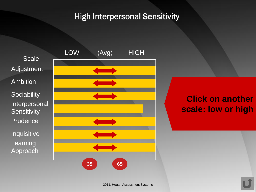# High Interpersonal Sensitivity





# **Click on another scale: low or high**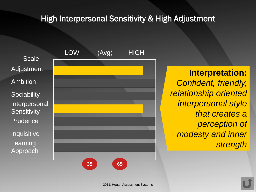## High Interpersonal Sensitivity & High Adjustment

Scale: Adjustment Ambition **Sociability** Interpersonal **Sensitivity Prudence** Inquisitive Learning Approach



**Interpretation:** *Confident, friendly, relationship oriented interpersonal style that creates a perception of modesty and inner strength*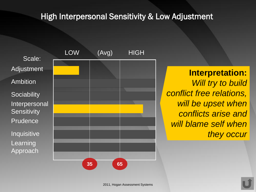## High Interpersonal Sensitivity & Low Adjustment

Scale: Adjustment Ambition **Sociability** Interpersonal **Sensitivity** Prudence Inquisitive Learning Approach



**Interpretation:** *Will try to build conflict free relations, will be upset when conflicts arise and will blame self when they occur*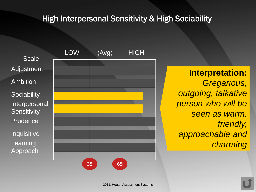# **High Interpersonal Sensitivity & High Sociability**

Scale: Adjustment Ambition **Sociability** Interpersonal **Sensitivity** Prudence Inquisitive Learning Approach



**Interpretation:** *Gregarious, outgoing, talkative person who will be seen as warm, friendly, approachable and charming*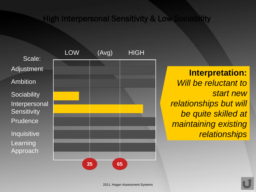#### **EXAMPLE High Interpersonal Sensitivity & Low Sociability**

Scale: Adjustment Ambition **Sociability** Interpersonal **Sensitivity** Prudence Inquisitive Learning Approach



**Interpretation:** *Will be reluctant to start new relationships but will be quite skilled at maintaining existing relationships*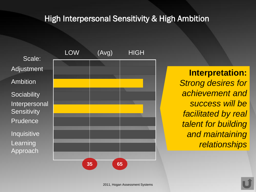# High Interpersonal Sensitivity & High Ambition

Scale: Adjustment Ambition **Sociability** Interpersonal **Sensitivity** Prudence Inquisitive Learning Approach



**Interpretation:** *Strong desires for achievement and success will be facilitated by real talent for building and maintaining relationships*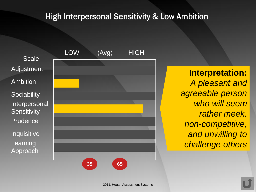# High Interpersonal Sensitivity & Low Ambition

Scale: Adjustment Ambition **Sociability** Interpersonal **Sensitivity** Prudence Inquisitive Learning Approach



**Interpretation:** *A pleasant and agreeable person who will seem rather meek, non-competitive, and unwilling to challenge others*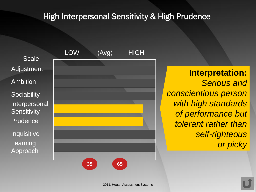# High Interpersonal Sensitivity & High Prudence

Scale: Adjustment Ambition **Sociability** Interpersonal **Sensitivity** Prudence Inquisitive Learning Approach



**Interpretation:** *Serious and conscientious person with high standards of performance but tolerant rather than self-righteous or picky*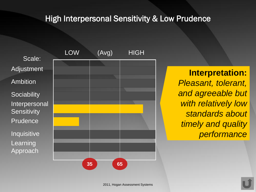## High Interpersonal Sensitivity & Low Prudence

Scale: Adjustment Ambition **Sociability** Interpersonal **Sensitivity** Prudence Inquisitive Learning Approach



**Interpretation:** *Pleasant, tolerant, and agreeable but with relatively low standards about timely and quality performance*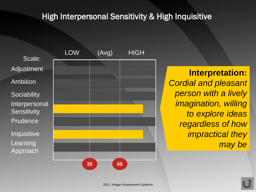# High Interpersonal Sensitivity & High Inquisitive

Scale: Adjustment Ambition **Sociability** Interpersonal **Sensitivity Prudence** Inquisitive Learning Approach



**Interpretation:** *Cordial and pleasant person with a lively imagination, willing to explore ideas regardless of how impractical they may be*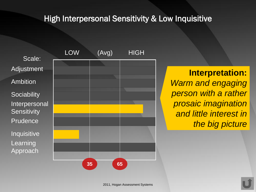## High Interpersonal Sensitivity & Low Inquisitive

Scale: Adjustment Ambition **Sociability** Interpersonal **Sensitivity** Prudence Inquisitive Learning Approach



**Interpretation:** *Warm and engaging person with a rather prosaic imagination and little interest in the big picture*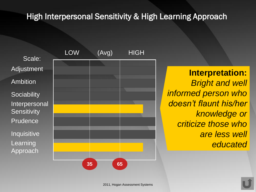High Interpersonal Sensitivity & High Learning Approach

Scale: Adjustment Ambition **Sociability** Interpersonal **Sensitivity Prudence Inquisitive** Learning Approach



**Interpretation:** *Bright and well informed person who doesn't flaunt his/her knowledge or criticize those who are less well educated*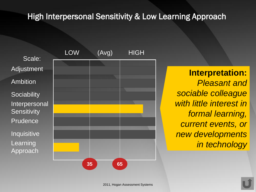## High Interpersonal Sensitivity & Low Learning Approach

Scale: Adjustment Ambition **Sociability** Interpersonal **Sensitivity** Prudence Inquisitive Learning Approach



**Interpretation:** *Pleasant and sociable colleague with little interest in formal learning, current events, or new developments in technology*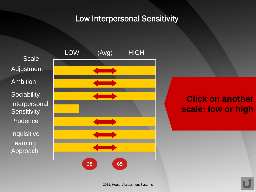## Low Interpersonal Sensitivity



# **Click on another scale: low or high**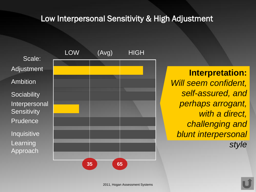#### Low Interpersonal Sensitivity & High Adjustment

Scale: Adjustment Ambition **Sociability** Interpersonal **Sensitivity Prudence** Inquisitive Learning Approach



**Interpretation:** *Will seem confident, self-assured, and perhaps arrogant, with a direct, challenging and blunt interpersonal style*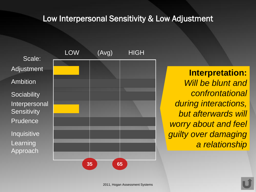#### Low Interpersonal Sensitivity & Low Adjustment

Scale: Adjustment Ambition **Sociability** Interpersonal **Sensitivity Prudence Inquisitive** Learning Approach



**Interpretation:** *Will be blunt and confrontational during interactions, but afterwards will worry about and feel guilty over damaging a relationship*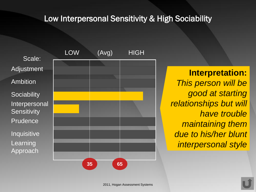## Low Interpersonal Sensitivity & High Sociability

Scale: Adjustment Ambition **Sociability** Interpersonal **Sensitivity Prudence** Inquisitive Learning Approach



**Interpretation:** *This person will be good at starting relationships but will have trouble maintaining them due to his/her blunt interpersonal style*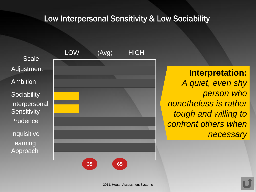#### Low Interpersonal Sensitivity & Low Sociability





**Interpretation:** *A quiet, even shy person who nonetheless is rather tough and willing to confront others when necessary*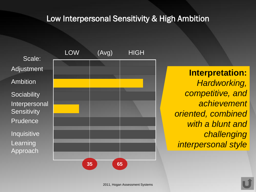## Low Interpersonal Sensitivity & High Ambition

Scale: Adjustment Ambition **Sociability** Interpersonal **Sensitivity Prudence** Inquisitive Learning **Approach** 



**Interpretation:** *Hardworking, competitive, and achievement oriented, combined with a blunt and challenging interpersonal style*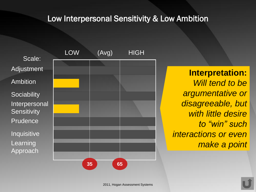## Low Interpersonal Sensitivity & Low Ambition

Scale: Adjustment Ambition **Sociability** Interpersonal **Sensitivity Prudence** Inquisitive Learning Approach



**Interpretation:** *Will tend to be argumentative or disagreeable, but with little desire to "win" such interactions or even make a point*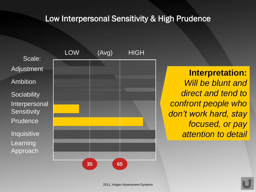#### Low Interpersonal Sensitivity & High Prudence

Scale: Adjustment Ambition **Sociability** Interpersonal **Sensitivity** Prudence Inquisitive Learning Approach



**Interpretation:** *Will be blunt and direct and tend to confront people who don't work hard, stay focused, or pay attention to detail*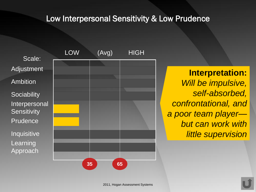#### Low Interpersonal Sensitivity & Low Prudence

Scale: Adjustment Ambition **Sociability** Interpersonal **Sensitivity** Prudence Inquisitive Learning Approach



**Interpretation:** *Will be impulsive, self-absorbed, confrontational, and a poor team player but can work with little supervision*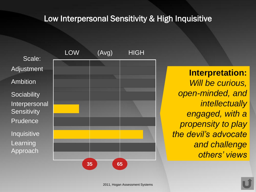## Low Interpersonal Sensitivity & High Inquisitive

Scale: Adjustment Ambition **Sociability** Interpersonal **Sensitivity** Prudence Inquisitive Learning Approach



**Interpretation:** *Will be curious, open-minded, and intellectually engaged, with a propensity to play the devil's advocate and challenge others' views*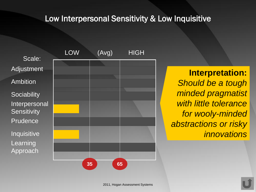## Low Interpersonal Sensitivity & Low Inquisitive

Scale: Adjustment Ambition **Sociability** Interpersonal **Sensitivity** Prudence Inquisitive Learning Approach



**Interpretation:** *Should be a tough minded pragmatist with little tolerance for wooly-minded abstractions or risky innovations*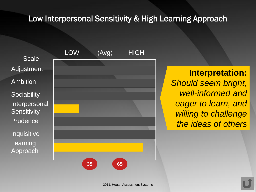## Low Interpersonal Sensitivity & High Learning Approach

Scale: Adjustment Ambition **Sociability** Interpersonal **Sensitivity Prudence** Inquisitive Learning Approach



**Interpretation:** *Should seem bright, well-informed and eager to learn, and willing to challenge the ideas of others*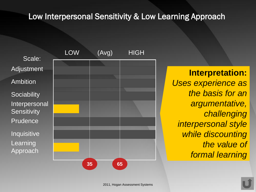#### Low Interpersonal Sensitivity & Low Learning Approach

Scale: Adjustment Ambition **Sociability** Interpersonal **Sensitivity** Prudence Inquisitive Learning Approach



**Interpretation:** *Uses experience as the basis for an argumentative, challenging interpersonal style while discounting the value of formal learning*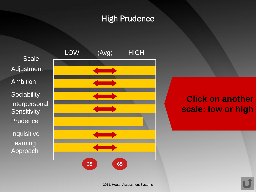# High Prudence





# **Click on another scale: low or high**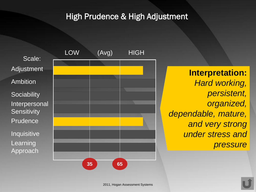# High Prudence & High Adjustment

Scale: Adjustment Ambition **Sociability** Interpersonal **Sensitivity** Prudence Inquisitive Learning Approach



**Interpretation:** *Hard working, persistent, organized, dependable, mature, and very strong under stress and pressure*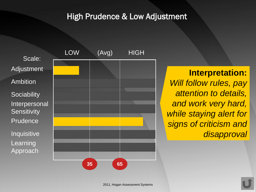## High Prudence & Low Adjustment

Scale: Adjustment Ambition **Sociability** Interpersonal **Sensitivity** Prudence Inquisitive Learning Approach



**Interpretation:** *Will follow rules, pay attention to details, and work very hard, while staying alert for signs of criticism and disapproval*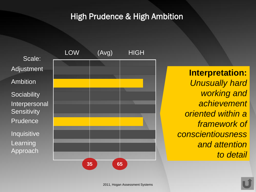## High Prudence & High Ambition

Scale: Adjustment Ambition **Sociability** Interpersonal **Sensitivity** Prudence Inquisitive Learning Approach



**Interpretation:** *Unusually hard working and achievement oriented within a framework of conscientiousness and attention to detail*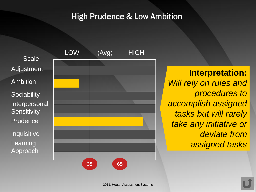## High Prudence & Low Ambition

Scale: Adjustment Ambition **Sociability** Interpersonal **Sensitivity** Prudence Inquisitive Learning Approach



**Interpretation:** *Will rely on rules and procedures to accomplish assigned tasks but will rarely take any initiative or deviate from assigned tasks*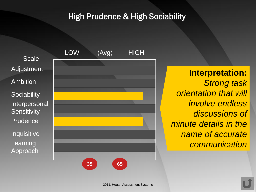# High Prudence & High Sociability

Scale: Adjustment Ambition **Sociability** Interpersonal **Sensitivity** Prudence Inquisitive Learning Approach



**Interpretation:** *Strong task orientation that will involve endless discussions of minute details in the name of accurate communication*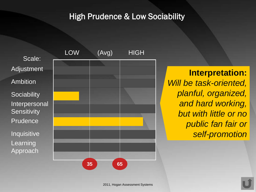## High Prudence & Low Sociability

Scale: Adjustment Ambition **Sociability** Interpersonal **Sensitivity** Prudence Inquisitive Learning Approach



**Interpretation:** *Will be task-oriented, planful, organized, and hard working, but with little or no public fan fair or self-promotion*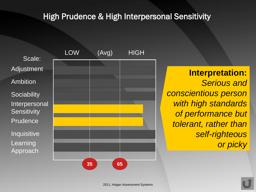# High Prudence & High Interpersonal Sensitivity

Scale: Adjustment Ambition **Sociability** Interpersonal **Sensitivity** Prudence Inquisitive Learning Approach



**Interpretation:** *Serious and conscientious person with high standards of performance but tolerant, rather than self-righteous or picky*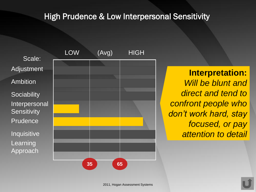## High Prudence & Low Interpersonal Sensitivity

Scale: Adjustment Ambition **Sociability** Interpersonal **Sensitivity** Prudence Inquisitive Learning Approach



**Interpretation:** *Will be blunt and direct and tend to confront people who don't work hard, stay focused, or pay attention to detail*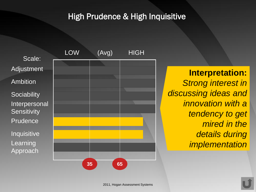# High Prudence & High Inquisitive

Scale: Adjustment Ambition **Sociability** Interpersonal **Sensitivity** Prudence Inquisitive Learning Approach



**Interpretation:** *Strong interest in discussing ideas and innovation with a tendency to get mired in the details during implementation*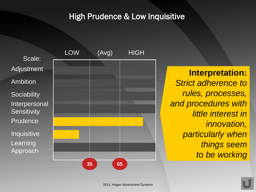# High Prudence & Low Inquisitive

Scale: Adjustment Ambition **Sociability** Interpersonal **Sensitivity** Prudence Inquisitive Learning Approach



**Interpretation:** *Strict adherence to rules, processes, and procedures with little interest in innovation, particularly when things seem to be working*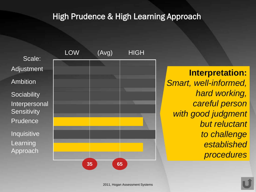# High Prudence & High Learning Approach

Scale: Adjustment Ambition **Sociability** Interpersonal **Sensitivity Prudence** Inquisitive Learning Approach



**Interpretation:** *Smart, well-informed, hard working, careful person with good judgment but reluctant to challenge established procedures*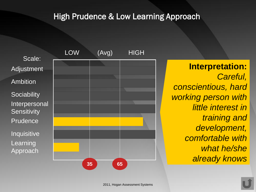# High Prudence & Low Learning Approach

Scale: Adjustment Ambition **Sociability** Interpersonal **Sensitivity** Prudence Inquisitive Learning **Approach** 



**Interpretation:** *Careful, conscientious, hard working person with little interest in training and development, comfortable with what he/she already knows*

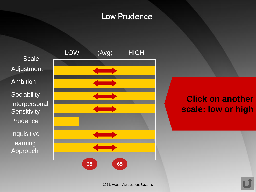# Low Prudence

Scale: Adjustment Ambition **Sociability** Interpersonal **Sensitivity** Prudence<sup>1</sup> Inquisitive Learning Approach



# **Click on another scale: low or high**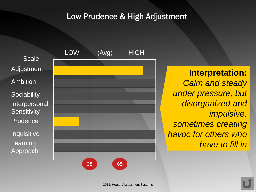# Low Prudence & High Adjustment

Scale: Adjustment Ambition **Sociability** Interpersonal **Sensitivity** Prudence Inquisitive Learning Approach



**Interpretation:** *Calm and steady under pressure, but disorganized and impulsive, sometimes creating havoc for others who have to fill in*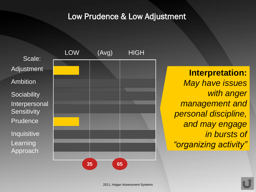## Low Prudence & Low Adjustment





**Interpretation:** *May have issues with anger management and personal discipline, and may engage in bursts of "organizing activity"*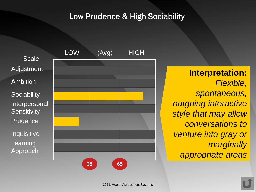# Low Prudence & High Sociability

Scale: Adjustment Ambition **Sociability** Interpersonal **Sensitivity** Prudence Inquisitive Learning Approach



**Interpretation:** *Flexible, spontaneous, outgoing interactive style that may allow conversations to venture into gray or marginally appropriate areas*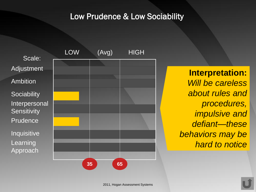## Low Prudence & Low Sociability

Scale: **Adjustment** Ambition **Sociability** Interpersonal **Sensitivity** Prudence Inquisitive Learning Approach



**Interpretation:** *Will be careless about rules and procedures, impulsive and defiant—these behaviors may be hard to notice*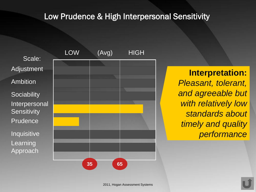#### Low Prudence & High Interpersonal Sensitivity

Scale: Adjustment Ambition **Sociability** Interpersonal **Sensitivity** Prudence Inquisitive Learning Approach



**Interpretation:** *Pleasant, tolerant, and agreeable but with relatively low standards about timely and quality performance*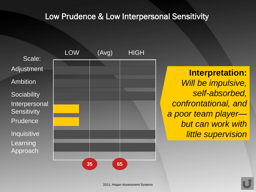#### Low Prudence & Low Interpersonal Sensitivity

Scale: Adjustment Ambition **Sociability** Interpersonal **Sensitivity Prudence** Inquisitive Learning Approach



**Interpretation:** *Will be impulsive, self-absorbed, confrontational, and a poor team player but can work with little supervision*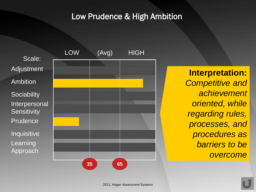## Low Prudence & High Ambition

Scale: Adjustment Ambition **Sociability** Interpersonal **Sensitivity** Prudence Inquisitive Learning Approach



**Interpretation:** *Competitive and achievement oriented, while regarding rules, processes, and procedures as barriers to be overcome*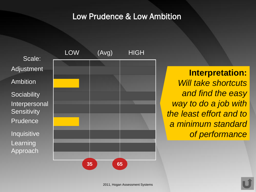#### Low Prudence & Low Ambition

Scale: Adjustment Ambition **Sociability** Interpersonal **Sensitivity** Prudence Inquisitive Learning Approach



**Interpretation:** *Will take shortcuts and find the easy way to do a job with the least effort and to a minimum standard of performance*

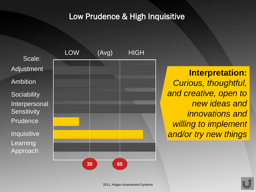# Low Prudence & High Inquisitive

Scale: Adjustment Ambition **Sociability** Interpersonal **Sensitivity** Prudence Inquisitive Learning Approach



**Interpretation:** *Curious, thoughtful, and creative, open to new ideas and innovations and willing to implement and/or try new things*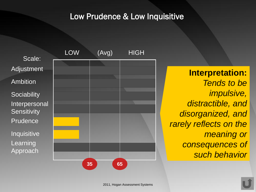## Low Prudence & Low Inquisitive

Scale: Adjustment Ambition **Sociability** Interpersonal **Sensitivity** Prudence Inquisitive Learning Approach



**Interpretation:** *Tends to be impulsive, distractible, and disorganized, and rarely reflects on the meaning or consequences of such behavior*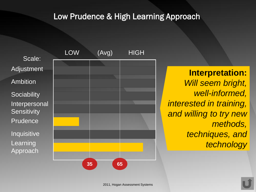## Low Prudence & High Learning Approach

Scale: Adjustment Ambition **Sociability** Interpersonal **Sensitivity Prudence** Inquisitive Learning Approach



**Interpretation:** *Will seem bright, well-informed, interested in training, and willing to try new methods, techniques, and technology*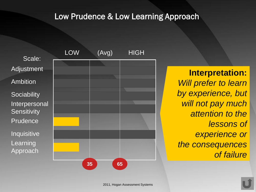## Low Prudence & Low Learning Approach

Scale: Adjustment Ambition **Sociability** Interpersonal **Sensitivity** Prudence Inquisitive Learning Approach



**Interpretation:** *Will prefer to learn by experience, but will not pay much attention to the lessons of experience or the consequences of failure*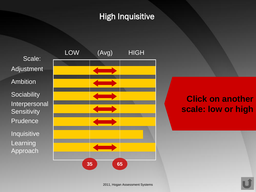# High Inquisitive

Scale: Adjustment Ambition **Sociability** Interpersonal **Sensitivity Prudence** Inquisitive Learning Approach



# **Click on another scale: low or high**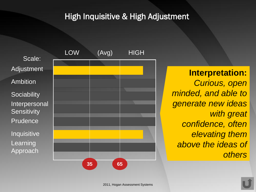## High Inquisitive & High Adjustment

Scale: Adjustment Ambition **Sociability** Interpersonal **Sensitivity** Prudence Inquisitive Learning Approach



**Interpretation:** *Curious, open minded, and able to generate new ideas with great confidence, often elevating them above the ideas of others*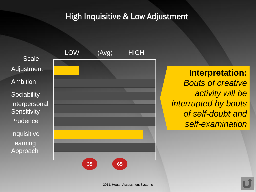## High Inquisitive & Low Adjustment





**Interpretation:** *Bouts of creative activity will be interrupted by bouts of self-doubt and self-examination*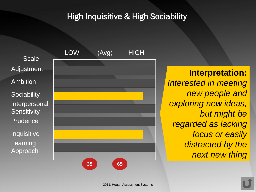# High Inquisitive & High Sociability

Scale: Adjustment Ambition **Sociability** Interpersonal **Sensitivity Prudence** Inquisitive Learning Approach



**Interpretation:** *Interested in meeting new people and exploring new ideas, but might be regarded as lacking focus or easily distracted by the next new thing*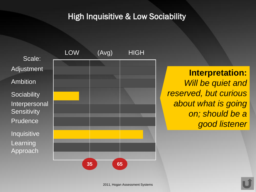# High Inquisitive & Low Sociability

Scale: Adjustment Ambition **Sociability** Interpersonal **Sensitivity Prudence** Inquisitive Learning Approach



**Interpretation:** *Will be quiet and reserved, but curious about what is going on; should be a good listener*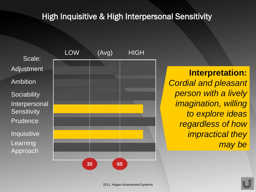# High Inquisitive & High Interpersonal Sensitivity

Scale: Adjustment Ambition **Sociability** Interpersonal **Sensitivity Prudence** Inquisitive Learning Approach



**Interpretation:** *Cordial and pleasant person with a lively imagination, willing to explore ideas regardless of how impractical they may be*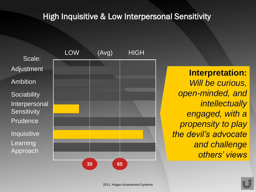# High Inquisitive & Low Interpersonal Sensitivity

Scale: Adjustment Ambition **Sociability** Interpersonal **Sensitivity** Prudence Inquisitive Learning Approach



**Interpretation:** *Will be curious, open-minded, and intellectually engaged, with a propensity to play the devil's advocate and challenge others' views*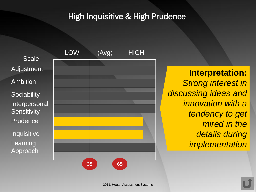# High Inquisitive & High Prudence

Scale: Adjustment Ambition **Sociability** Interpersonal **Sensitivity** Prudence Inquisitive Learning Approach



**Interpretation:** *Strong interest in discussing ideas and innovation with a tendency to get mired in the details during implementation*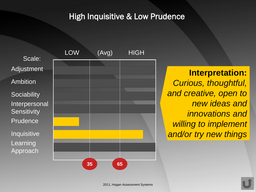# High Inquisitive & Low Prudence

Scale: Adjustment Ambition **Sociability Interpersonal Sensitivity** Prudence Inquisitive Learning Approach



**Interpretation:** *Curious, thoughtful, and creative, open to new ideas and innovations and willing to implement and/or try new things*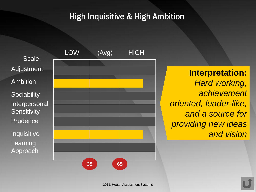# High Inquisitive & High Ambition

Scale: Adjustment Ambition **Sociability Interpersonal Sensitivity** Prudence Inquisitive Learning Approach



**Interpretation:** *Hard working, achievement oriented, leader-like, and a source for providing new ideas and vision*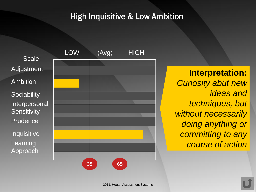## High Inquisitive & Low Ambition

Scale: Adjustment Ambition **Sociability** Interpersonal **Sensitivity** Prudence Inquisitive Learning Approach



**Interpretation:** *Curiosity abut new ideas and techniques, but without necessarily doing anything or committing to any course of action*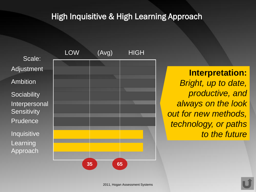# High Inquisitive & High Learning Approach

Scale: Adjustment Ambition **Sociability Interpersonal Sensitivity Prudence** Inquisitive Learning Approach



**Interpretation:** *Bright, up to date, productive, and always on the look out for new methods, technology, or paths to the future*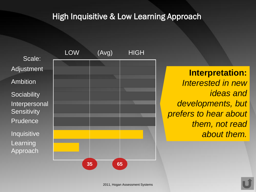## High Inquisitive & Low Learning Approach

Scale: Adjustment Ambition **Sociability** Interpersonal **Sensitivity** Prudence Inquisitive Learning Approach



**Interpretation:** *Interested in new ideas and developments, but prefers to hear about them, not read about them.*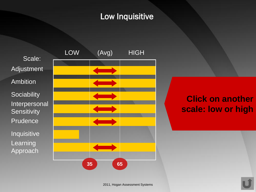# Low Inquisitive

Scale: Adjustment Ambition **Sociability** Interpersonal **Sensitivity** Prudence Inquisitive Learning Approach



# **Click on another scale: low or high**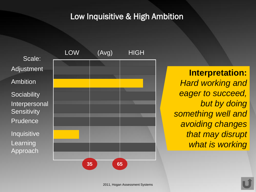### Low Inquisitive & High Ambition

Scale: Adjustment Ambition **Sociability** Interpersonal **Sensitivity** Prudence Inquisitive Learning Approach



**Interpretation:** *Hard working and eager to succeed, but by doing something well and avoiding changes that may disrupt what is working*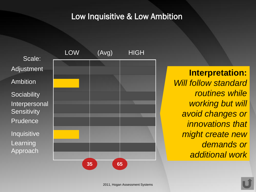#### Low Inquisitive & Low Ambition

Scale: Adjustment Ambition **Sociability** Interpersonal **Sensitivity** Prudence Inquisitive Learning Approach



**Interpretation:** *Will follow standard routines while working but will avoid changes or innovations that might create new demands or additional work*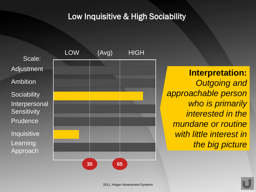## Low Inquisitive & High Sociability

Scale: Adjustment Ambition **Sociability** Interpersonal **Sensitivity Prudence** Inquisitive Learning Approach



**Interpretation:** *Outgoing and approachable person who is primarily interested in the mundane or routine with little interest in the big picture*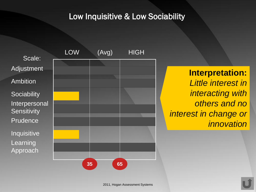## Low Inquisitive & Low Sociability

Scale: **Adjustment** Ambition **Sociability** Interpersonal **Sensitivity** Prudence Inquisitive Learning Approach



**Interpretation:** *Little interest in interacting with others and no interest in change or innovation*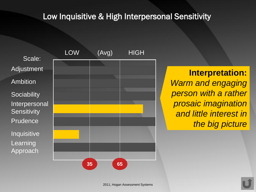## Low Inquisitive & High Interpersonal Sensitivity

Scale: Adjustment Ambition **Sociability** Interpersonal **Sensitivity** Prudence Inquisitive Learning Approach



**Interpretation:** *Warm and engaging person with a rather prosaic imagination and little interest in the big picture*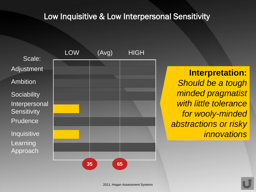#### Low Inquisitive & Low Interpersonal Sensitivity

Scale: Adjustment Ambition **Sociability** Interpersonal **Sensitivity** Prudence Inquisitive Learning Approach



**Interpretation:** *Should be a tough minded pragmatist with little tolerance for wooly-minded abstractions or risky innovations*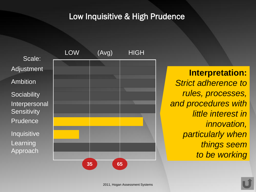## Low Inquisitive & High Prudence

Scale: Adjustment Ambition **Sociability** Interpersonal **Sensitivity** Prudence Inquisitive Learning Approach



**Interpretation:** *Strict adherence to rules, processes, and procedures with little interest in innovation, particularly when things seem to be working*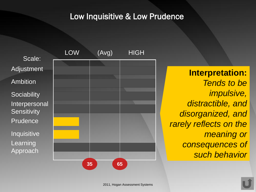### Low Inquisitive & Low Prudence

Scale: Adjustment Ambition **Sociability** Interpersonal **Sensitivity** Prudence Inquisitive Learning **Approach** 



**Interpretation:** *Tends to be impulsive, distractible, and disorganized, and rarely reflects on the meaning or consequences of such behavior*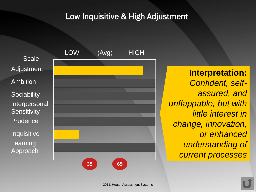## Low Inquisitive & High Adjustment

Scale: Adjustment Ambition **Sociability** Interpersonal **Sensitivity Prudence** Inquisitive Learning Approach



**Interpretation:** *Confident, selfassured, and unflappable, but with little interest in change, innovation, or enhanced understanding of current processes*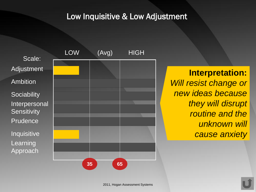#### Low Inquisitive & Low Adjustment

Scale: Adjustment Ambition **Sociability** Interpersonal **Sensitivity Prudence** Inquisitive Learning Approach



**Interpretation:** *Will resist change or new ideas because they will disrupt routine and the unknown will cause anxiety*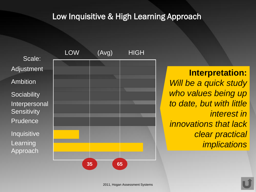#### Low Inquisitive & High Learning Approach

Scale: Adjustment Ambition **Sociability** Interpersonal **Sensitivity** Prudence Inquisitive Learning Approach



# **Interpretation:**

*Will be a quick study who values being up to date, but with little interest in innovations that lack clear practical implications*

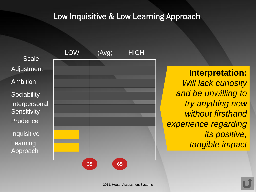#### Low Inquisitive & Low Learning Approach

Scale: Adjustment Ambition **Sociability** Interpersonal **Sensitivity** Prudence Inquisitive Learning Approach



**Interpretation:** *Will lack curiosity and be unwilling to try anything new without firsthand experience regarding its positive, tangible impact*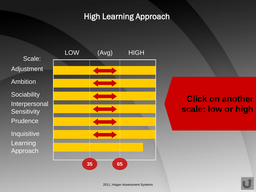# High Learning Approach



# **Click on another scale: low or high**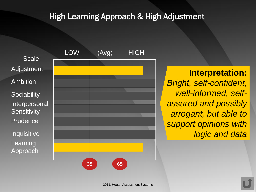## High Learning Approach & High Adjustment

Scale: Adjustment Ambition **Sociability** Interpersonal **Sensitivity** Prudence Inquisitive Learning Approach



**Interpretation:** *Bright, self-confident, well-informed, selfassured and possibly arrogant, but able to support opinions with logic and data*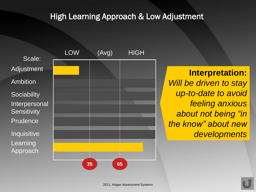### High Learning Approach & Low Adjustment

Scale: Adjustment Ambition **Sociability** Interpersonal **Sensitivity Prudence** Inquisitive Learning Approach



**Interpretation:** *Will be driven to stay up-to-date to avoid feeling anxious about not being "in the know" about new developments*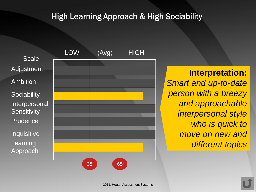# High Learning Approach & High Sociability

Scale: Adjustment Ambition **Sociability** Interpersonal **Sensitivity Prudence** Inquisitive Learning Approach



**Interpretation:** *Smart and up-to-date person with a breezy and approachable interpersonal style who is quick to move on new and different topics*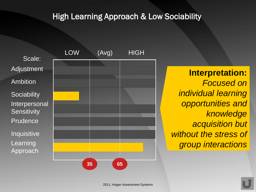# High Learning Approach & Low Sociability

Scale: Adjustment Ambition **Sociability** Interpersonal **Sensitivity** Prudence Inquisitive Learning Approach



**Interpretation:** *Focused on individual learning opportunities and knowledge acquisition but without the stress of group interactions*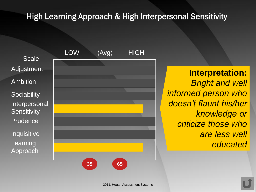## High Learning Approach & High Interpersonal Sensitivity

Scale: Adjustment Ambition **Sociability** Interpersonal **Sensitivity Prudence Inquisitive** Learning Approach



**Interpretation:** *Bright and well informed person who doesn't flaunt his/her knowledge or criticize those who are less well educated*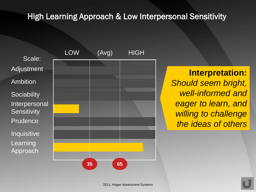# High Learning Approach & Low Interpersonal Sensitivity

Scale: Adjustment Ambition **Sociability** Interpersonal **Sensitivity Prudence** Inquisitive Learning Approach



**Interpretation:** *Should seem bright, well-informed and eager to learn, and willing to challenge the ideas of others*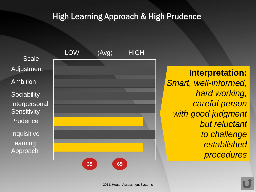## High Learning Approach & High Prudence

Scale: Adjustment Ambition **Sociability** Interpersonal **Sensitivity Prudence** Inquisitive Learning Approach



**Interpretation:** *Smart, well-informed, hard working, careful person with good judgment but reluctant to challenge established procedures*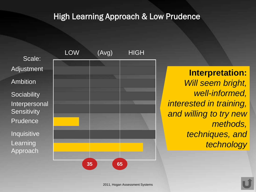### High Learning Approach & Low Prudence

Scale: Adjustment Ambition **Sociability** Interpersonal **Sensitivity Prudence** Inquisitive Learning Approach



**Interpretation:** *Will seem bright, well-informed, interested in training, and willing to try new methods, techniques, and technology*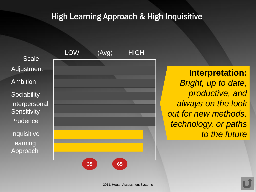## High Learning Approach & High Inquisitive

Scale: Adjustment Ambition **Sociability** Interpersonal **Sensitivity Prudence** Inquisitive Learning Approach



**Interpretation:** *Bright, up to date, productive, and always on the look out for new methods, technology, or paths to the future*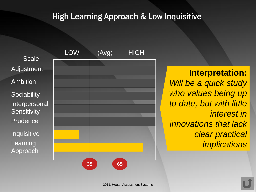## **High Learning Approach & Low Inquisitive**

Scale: Adjustment Ambition **Sociability** Interpersonal **Sensitivity Prudence** Inquisitive Learning Approach



# **Interpretation:**

*Will be a quick study who values being up to date, but with little interest in innovations that lack clear practical implications*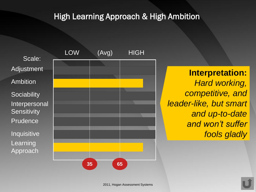### High Learning Approach & High Ambition

Scale: Adjustment Ambition **Sociability** Interpersonal **Sensitivity Prudence** Inquisitive Learning Approach



**Interpretation:** *Hard working, competitive, and leader-like, but smart and up-to-date and won't suffer fools gladly*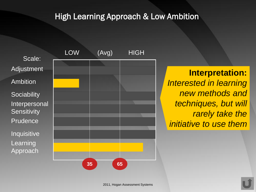#### High Learning Approach & Low Ambition

Scale: Adjustment Ambition **Sociability** Interpersonal **Sensitivity** Prudence Inquisitive Learning Approach



**Interpretation:** *Interested in learning new methods and techniques, but will rarely take the initiative to use them*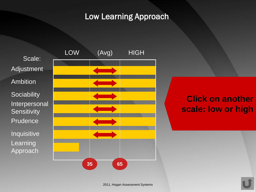#### Low Learning Approach



# **Click on another scale: low or high**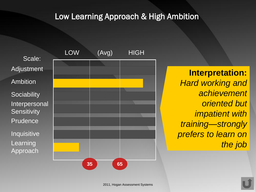## Low Learning Approach & High Ambition

Scale: Adjustment Ambition **Sociability** Interpersonal **Sensitivity** Prudence Inquisitive Learning Approach



**Interpretation:** *Hard working and achievement oriented but impatient with training—strongly prefers to learn on the job*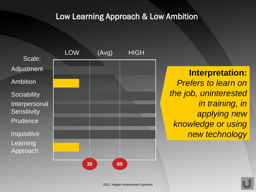#### Low Learning Approach & Low Ambition

Scale: Adjustment Ambition **Sociability** Interpersonal **Sensitivity Prudence** Inquisitive Learning Approach



**Interpretation:** *Prefers to learn on the job, uninterested in training, in applying new knowledge or using new technology*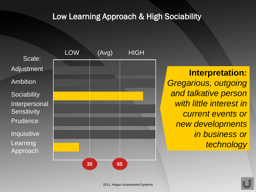### Low Learning Approach & High Sociability

Scale: Adjustment Ambition **Sociability** Interpersonal **Sensitivity** Prudence Inquisitive Learning Approach



**Interpretation:** *Gregarious, outgoing and talkative person with little interest in current events or new developments in business or technology*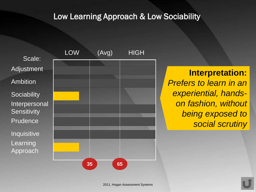#### Low Learning Approach & Low Sociability

Scale: Adjustment Ambition **Sociability** Interpersonal **Sensitivity** Prudence Inquisitive Learning Approach



**Interpretation:** *Prefers to learn in an experiential, handson fashion, without being exposed to social scrutiny*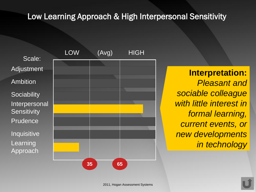## Low Learning Approach & High Interpersonal Sensitivity

Scale: Adjustment Ambition **Sociability** Interpersonal **Sensitivity Prudence** Inquisitive Learning Approach



**Interpretation:** *Pleasant and sociable colleague with little interest in formal learning, current events, or new developments in technology*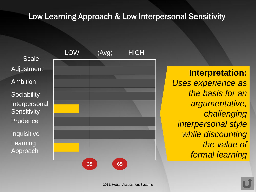#### Low Learning Approach & Low Interpersonal Sensitivity

Scale: Adjustment Ambition **Sociability** Interpersonal **Sensitivity** Prudence Inquisitive Learning Approach



**Interpretation:** *Uses experience as the basis for an argumentative, challenging interpersonal style while discounting the value of formal learning*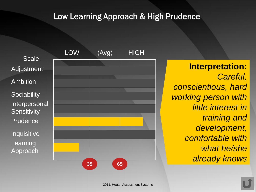## Low Learning Approach & High Prudence

Scale: Adjustment Ambition **Sociability** Interpersonal **Sensitivity** Prudence Inquisitive Learning **Approach** 



**Interpretation:** *Careful, conscientious, hard working person with little interest in training and development, comfortable with what he/she already knows*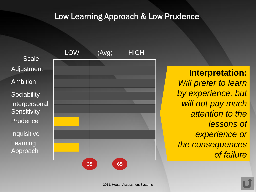## Low Learning Approach & Low Prudence

Scale: Adjustment Ambition **Sociability** Interpersonal **Sensitivity** Prudence Inquisitive Learning Approach



**Interpretation:** *Will prefer to learn by experience, but will not pay much attention to the lessons of experience or the consequences of failure*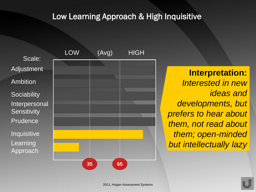## Low Learning Approach & High Inquisitive

Scale: Adjustment Ambition **Sociability** Interpersonal **Sensitivity Prudence** Inquisitive Learning Approach



**Interpretation:** *Interested in new ideas and developments, but prefers to hear about them, not read about them; open-minded but intellectually lazy*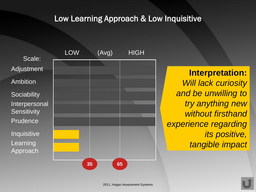## Low Learning Approach & Low Inquisitive

Scale: Adjustment Ambition **Sociability** Interpersonal **Sensitivity Prudence** Inquisitive Learning Approach



**Interpretation:** *Will lack curiosity and be unwilling to try anything new without firsthand experience regarding its positive, tangible impact*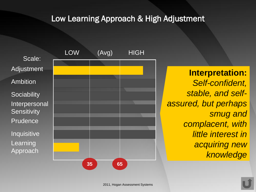## Low Learning Approach & High Adjustment

Scale: Adjustment Ambition **Sociability** Interpersonal **Sensitivity Prudence** Inquisitive Learning Approach



**Interpretation:** *Self-confident, stable, and selfassured, but perhaps smug and complacent, with little interest in acquiring new knowledge*